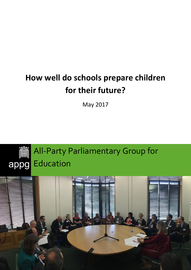# **How well do schools prepare children for their future?**

May 2017



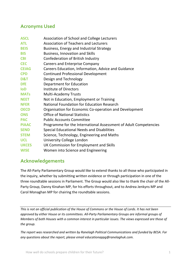#### **Acronyms Used**

| <b>ASCL</b>    | Association of School and College Lecturers                      |
|----------------|------------------------------------------------------------------|
| <b>ATL</b>     | <b>Association of Teachers and Lecturers</b>                     |
| <b>BEIS</b>    | Business, Energy and Industrial Strategy                         |
| <b>BIS</b>     | <b>Business, Innovation and Skills</b>                           |
| <b>CBI</b>     | Confederation of British Industry                                |
| <b>CEC</b>     | <b>Careers and Enterprise Company</b>                            |
| <b>CEIAG</b>   | Careers Education, Information, Advice and Guidance              |
| <b>CPD</b>     | <b>Continued Professional Development</b>                        |
| <b>D&amp;T</b> | Design and Technology                                            |
| <b>DfE</b>     | Department for Education                                         |
| <b>IoD</b>     | <b>Institute of Directors</b>                                    |
| <b>MATs</b>    | <b>Multi-Academy Trusts</b>                                      |
| <b>NEET</b>    | Not in Education, Employment or Training                         |
| <b>NFER</b>    | National Foundation for Education Research                       |
| <b>OECD</b>    | Organisation for Economic Co-operation and Development           |
| <b>ONS</b>     | <b>Office of National Statistics</b>                             |
| <b>PAC</b>     | <b>Public Accounts Committee</b>                                 |
| <b>PIAAC</b>   | Programme for the International Assessment of Adult Competencies |
| <b>SEND</b>    | <b>Special Educational Needs and Disabilities</b>                |
| <b>STEM</b>    | Science, Technology, Engineering and Maths                       |
| <b>UCL</b>     | University College London                                        |
| <b>UKCES</b>   | UK Commission for Employment and Skills                          |
| <b>WISE</b>    | Women into Science and Engineering                               |

#### **Acknowledgements**

The All-Party Parliamentary Group would like to extend thanks to all those who participated in the inquiry, whether by submitting written evidence or through participation in one of the three roundtable sessions in Parliament. The Group would also like to thank the chair of the All-Party Group, Danny Kinahan MP, for his efforts throughout, and to Andrea Jenkyns MP and Carol Monaghan MP for chairing the roundtable sessions.

*This is not an official publication of the House of Commons or the House of Lords. It has not been approved by either House or its committees. All-Party Parliamentary Groups are informal groups of Members of both Houses with a common interest in particular issues. The views expressed are those of the group.*

*The report was researched and written by Ranelagh Political Communications and funded by BESA. For any questions about the report, please email [educationappg@ranelaghuk.com.](mailto:educationappg@ranelaghuk.com)*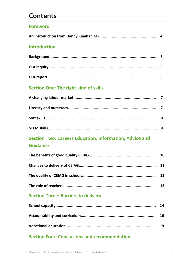### **Contents**

**[Foreword](#page-4-0)**

#### **[Introduction](#page-5-0)**

#### **[Section](#page-7-0) One: The right kind of skills**

### **Section Two: Careers Education, [Information,](#page-10-0) Advice and**

#### **[Guidance](#page-10-0)**

| 13 |
|----|

#### **Section Three: Barriers to [delivery](#page-14-0)**

#### **Section Four: Conclusions and [recommendations](#page-20-0)**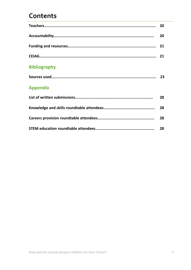### Contents

|                     | 20 |
|---------------------|----|
|                     | 20 |
|                     |    |
|                     |    |
| <b>Bibliography</b> |    |
|                     |    |
| <b>Appendix</b>     |    |
|                     | 28 |
|                     | 28 |
|                     | 28 |
|                     | 28 |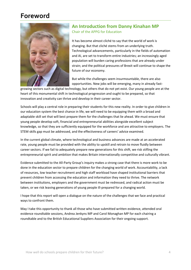### <span id="page-4-0"></span>**Foreword**



#### **An Introduction from Danny Kinahan MP** Chair of the APPG for Education

It has become almost cliché to say that the world of work is changing. But that cliché stems from an underlying truth. Technological advancements, particularly in the fields of automation and AI, are set to transform entire industries; an increasingly aged population will burden caring professions that are already under strain; and the political pressures of Brexit will continue to shape the future of our economy.

But while the challenges seem insurmountable, there are also opportunities. New jobs will be emerging, many in already fast-

growing sectors such as digital technology, but others that do not yet exist. Our young people are at the heart of this monumental shift in technological progression and ought to be prepared, so that innovation and creativity can thrive and develop in their career sector.

Schools will play a central role in preparing their students for this new reality. In order to give children in our education system the best chance in life, we will need to be equipping them with a broad and adaptable skill set that will best prepare them for the challenges that lie ahead. We must ensure that young people develop soft, financial and entrepreneurial abilities alongside excellent subject knowledge, so that they are sufficiently equipped for the workforce and are attractive to employers. The STEM skills gap must be addressed, and the effectiveness of careers' advice examined.

In the current global climate, where technological and business advances are made at an accelerated rate, young people must be provided with the ability to upskill and retrain to move fluidly between career sectors. If we fail to adequately prepare new generations for this shift, we risk stifling the entrepreneurial spirit and ambition that makes Britain internationally competitive and culturally vibrant.

Evidence submitted to the All-Party Group's inquiry makes a strong case that there is more work to be done in the education sector to prepare children for the changing world of work. Accountability, a lack of resources, low teacher recruitment and high staff workload have shaped institutional barriers that prevent children from accessing the education and information they need to thrive. The network between institutions, employers and the government must be redressed, and radical action must be taken, or we risk leaving generations of young people ill-prepared for a changing world.

I hope that this report will open a dialogue on the nature of the challenges that we face and practical ways to confront them.

May I take this opportunity to thank all those who have submitted written evidence, attended oral evidence roundtable sessions, Andrea Jenkyns MP and Carol Monaghan MP for each chairing a roundtable and to the British Educational Suppliers Association for their ongoing support.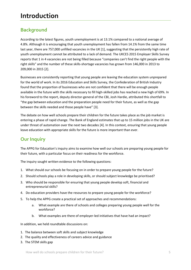### <span id="page-5-0"></span>**Introduction**

#### <span id="page-5-1"></span>**Background**

According to the latest figures, youth unemployment is at 13.1% compared to a national average of 4.8%. Although it is encouraging that youth unemployment has fallen from 14.1% from the same time last year, there are 757,000 unfilled vacancies in the UK [1], suggesting that the persistently high rate of youth unemployment cannot be attributed to a lack of demand. The UKCES 2015 Employer Skills Survey reports that 1 in 4 vacancies are not being filled because "companies can't find the right people with the right skills" and the number of these skills-shortage vacancies has grown from 146,000 in 2013 to 209,000 in 2015 [2].

Businesses are consistently reporting that young people are leaving the education system unprepared for the world of work. In its 2016 Education and Skills Survey, the Confederation of British Industry found that the proportion of businesses who are not confident that there will be enough people available in the future with the skills necessary to fill high-skilled jobs has reached a new high of 69%. In his foreword to the report, deputy director-general of the CBI, Josh Hardie, attributed this shortfall to "the gap between education and the preparation people need for their future, as well as the gap between the skills needed and those people have" [3].

The debate on how well schools prepare their children for the future takes place as the job market is entering a phase of rapid change. The Bank of England estimates that up to 15 million jobs in the UK are under threat of automation over the next two decades [4]. In this context, ensuring that young people leave education with appropriate skills for the future is more important than ever.

#### <span id="page-5-2"></span>**Our Inquiry**

The APPG for Education's inquiry aims to examine how well our schools are preparing young people for their future, with a particular focus on their readiness for the workforce.

The inquiry sought written evidence to the following questions:

- 1. What should our schools be focusing on in order to prepare young people for the future?
- 2. Should schools play a role in developing skills, or should subject knowledge be prioritised?
- 3. Who should be responsible for ensuring that young people develop soft, financial and entrepreneurial skills?
- 4. Do education providers have the resources to prepare young people for the workforce?
- 5. To help the APPG create a practical set of approaches and recommendations:
	- a. What example are there of schools and colleges preparing young people well for the workforce?
	- b. What examples are there of employer-led initiatives that have had an impact?

In addition, we held roundtable discussions on:

- 1. The balance between soft skills and subject knowledge
- 2. The quality and effectiveness of careers advice and guidance
- 3. The STEM skills gap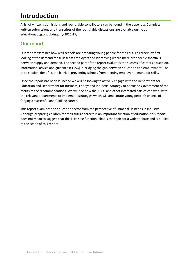## **Introduction**

A list of written submissions and roundtable contributors can be found in the appendix. Complete written submissions and transcripts of the roundtable discussions are available online at educationappg.org.uk/inquiry-2016-17/.

### <span id="page-6-0"></span>**Our report**

Our report examines how well schools are preparing young people for their future careers by first looking at the demand for skills from employers and identifying where there are specific shortfalls between supply and demand. The second part of the report evaluates the success of careers education, information, advice and guidance (CEIAG) in bridging the gap between education and employment. The third section identifies the barriers preventing schools from meeting employer demand for skills.

Once the report has been launched we will be looking to actively engage with the Department for Education and Department for Business, Energy and Industrial Strategy to persuade Government of the merits of the recommendations. We will see how the APPG and other interested parties can work with the relevant departments to implement strategies which will ameliorate young people's chance of forging a successful and fulfilling career.

This report examines the education sector from the perspective of unmet skills needs in industry. Although preparing children for their future careers is an important function of education, this report does not mean to suggest that this is its sole function. That is the topic for a wider debate and is outside of the scope of this report.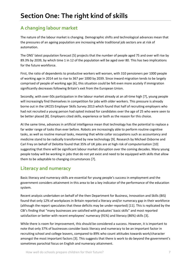### <span id="page-7-1"></span><span id="page-7-0"></span>**A changing labour market**

The nature of the labour market is changing. Demographic shifts and technological advances mean that the pressures of an ageing population are increasing while traditional job sectors are at risk of automation.

The ONS' latest population forecast [5] projects that the number of people aged 75 and over will rise by 89.3% by 2039, by which time 1 in 12 of the population will be aged over 80. This has two implications for the future workforce.

First, the ratio of dependents to productive workers will worsen, with 310 pensioners per 1000 people of working age in 2014 set to rise to 367 per 1000 by 2039. Since inward migration tends to be largely comprised of people of working age [6], this situation could be felt even more acutely if immigration significantly decreases following Britain's exit from the European Union.

Secondly, with over-50s participation in the labour market already at an all-time high [7], young people will increasingly find themselves in competition for jobs with older workers. This pressure is already borne out in the UKCES Employer Skills Survey 2013 which found that half of recruiting employers who had not recruited a young person had opted instead for candidates over the age of 25 who were seen to be better placed [8]. Employers cited skills, experience or both as the reason for this choice.

At the same time, advances in artificial intelligence mean that technology has the potential to replace a far wider range of tasks than ever before. Robots are increasingly able to perform routine cognitive tasks, as well as routine manual tasks, meaning that white collar occupations such as accountancy and medicine stand to be radically transformed by new technology [9]. Research by Michael Osborne and Carl Frey on behalf of Deloitte found that 35% of UK jobs are at high risk of computerisation [10] suggesting that there will be significant labour market disruption over the coming decades. Many young people today will be working in jobs that do not yet exist and need to be equipped with skills that allow them to be adaptable to changing circumstances [7].

### <span id="page-7-2"></span>**Literacy and numeracy**

Basic literacy and numeracy skills are essential for young people's success in employment and the government considers attainment in this area to be a key indicator of the performance of the education system.

Recent analysis undertaken on behalf of the then Department for Business, Innovation and Skills (BIS) found that only 12% of workplaces in Britain reported a literacy and/or numeracy gap in their workforce (although the report speculates that these deficits may be under-reported) [11]. This is replicated by the CBI's finding that "many businesses are satisfied with graduates' basic skills" and most reported satisfaction or better with recent employees' numeracy (91%) and literacy (86%) skills [3].

While there is room for improvement, this should be considered a success. However, it is important to note that only 37% of businesses consider basic literacy and numeracy to be an important factor in recruiting school and college leavers, compared to 89% who count attitudes towards work/character amongst the most important factors [3]. This suggests that there is work to do beyond the government's sometimes parochial focus on English and numeracy attainment.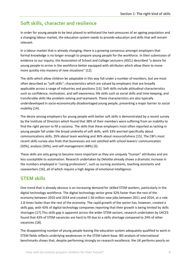#### <span id="page-8-0"></span>**Soft skills, character and resilience**

In order for young people to be best placed to withstand the twin pressures of an ageing population and a changing labour market, the education system needs to provide education and skills that will remain relevant.

In a labour market that is already changing, there is a growing consensus amongst employers that formal knowledge is no longer enough to prepare young people for the workforce. In their submission of evidence to our inquiry, the Association of School and College Lecturers (ASCL) described "a desire for young people to arrive in the workforce better equipped with attributes which allow them to move more quickly into mastery of new situations" [12].

The skills which allow children be adaptable in this way fall under a number of monikers, but are most often described as "soft skills"; characteristics which are valued by employers that are broadly applicable across a range of industries and positions [13]. Soft skills include attitudinal characteristics such as confidence, motivation, and self-awareness; life skills such as social skills and time-keeping; and transferable skills like problem-solving and teamwork. These characteristics are also typically underdeveloped in socio-economically disadvantaged young people, presenting a major barrier to social mobility [14].

The desire among employers for young people with better soft skills is demonstrated by a recent survey by the Institute of Directors which found that 38% of their members were suffering from an inability to find the right person to fill a vacancy. The skills that these employers most often reported as lacking in young people fall under the broad umbrella of soft skills, with 33% worried specifically about communications skills, 35% about team working and 36% about resourcefulness [15]. The CBI's most recent skills survey also finds that businesses are not satisfied with school leavers' communication (50%), analysis (50%), and self-management (48%) [3].

These skills are only going to become more important as they are uniquely "human" attributes and are less susceptible to automation. Research undertaken by Deloitte already shows a dramatic increase in the numbers employed in "caring professions", such as nursing assistants, teaching assistants and caseworkers [16], all of which require a high degree of emotional intelligence.

#### <span id="page-8-1"></span>**STEM skills**

One trend that is already obvious is an increasing demand for skilled STEM workers, particularly in the digital technology workforce. The digital technology sector grew 32% faster than the rest of the economy between 2010 and 2014 and created 1.56 million new jobs between 2011 and 2014, at a rate 2.8 times faster than the rest of the economy. The rapid growth of the sector has, however, created a skills gap, with 43% of digital technology companies reporting that their growth is being limited by skills shortages [17].This skills gap is apparent across the wider STEM sectors; research undertaken by UKCES found that 43% of STEM vacancies are hard to fill due to a skills shortage compared to 24% of other vacancies [18].

The disappointing number of young people leaving the education system adequately qualified to work in STEM fields reflects underlying weaknesses in the STEM talent-base. BIS analysis of international benchmarks shows that, despite performing strongly on research excellence, the UK performs poorly on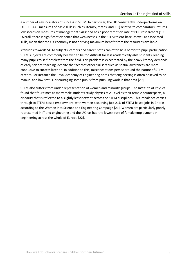a number of key indicators of success in STEM. In particular, the UK consistently underperforms on OECD-PIAAC measures of basic skills (such as literacy, maths, and ICT) relative to comparators; returns low scores on measures of management skills; and has a poor retention rate of PHD researchers [19]. Overall, there is significant evidence that weaknesses in the STEM talent-base, as well as associated skills, mean that the UK economy is not deriving maximum benefit from the resources available.

Attitudes towards STEM subjects, careers and career paths can often be a barrier to pupil participation. STEM subjects are commonly believed to be too difficult for less academically able students, leading many pupils to self-deselect from the field. This problem is exacerbated by the heavy literacy demands of early science teaching, despite the fact that other skillsets such as spatial awareness are more conducive to success later on. In addition to this, misconceptions persist around the nature of STEM careers. For instance the Royal Academy of Engineering notes that engineering is often believed to be manual and low status, discouraging some pupils from pursuing work in that area [20].

STEM also suffers from under-representation of women and minority groups. The Institute of Physics found that four times as many male students study physics at A-Level as their female counterparts, a disparity that is reflected to a slightly lesser extent across the STEM disciplines. This imbalance carries through to STEM-based employment, with women occupying just 21% of STEM-based jobs in Britain according to the Women into Science and Engineering Campaign [21]. Women are particularly poorly represented in IT and engineering and the UK has had the lowest rate of female employment in engineering across the whole of Europe [22].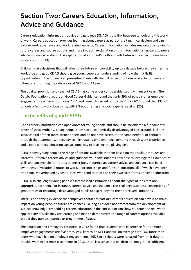## <span id="page-10-0"></span>**Section Two: Careers Education, Information, Advice and Guidance**

Careers education, information, advice and guidance (CEIAG) is the link between schools and the world of work. Careers education provides learning about careers as part of the taught curriculum and can involve work experience and work related learning. Careers information includes resources pertaining to future career and course options and more in-depth explanation of this information is known as careers advice. Guidance relates to the exploration of a student's skills and attributes with respect to available careers options [23].

Children make decisions that will affect their future employability up to a decade before they enter the workforce and good CEIAG should give young people an understanding of how their skills fit opportunities in the job market, presenting them with the full range of options available to them and ultimately informing their decisions at GCSE and A Level.

The quality, provision and reach of CEIAG has come under considerable scrutiny in recent years. The Gatsby Foundation's report on Good Career Guidance found that only 39% of schools offer employer engagements each year from year 7 [24]and research carried out by the DfE in 2015 found that 13% of schools offer no workplace visits, with 8% not offering any work experience at all [25].

### <span id="page-10-1"></span>**The benefits of good CEIAG**

Good careers information can open doors for young people and should be considered a fundamental driver of social mobility. Young people from socio-economically disadvantaged backgrounds lack the social capital of their more affluent peers and do not have access to the same network of contacts through their parents. Careers advice, high quality employer engagements through work experience, and a good careers education can go some way to levelling the playing field.

CEIAG shows young people the range of options available to them based on their skills, aptitudes and interests. Effective careers advice and guidance will show students how best to leverage their own set of skills and uncover clearer routes to better jobs. In particular, careers advice and guidance can build awareness of vocational routes to work, apprenticeships and further education, all of which have been traditionally overlooked by school staff who tend to prioritise their own sixth forms or higher education.

CEIAG also challenges young people's internalised assumptions about the types of jobs that are appropriate for them. For instance, careers advice and guidance can challenge students' conceptions of gender roles or encourage disadvantaged pupils to aspire beyond their perceived limitations.

There is also strong evidence that employer contact as part of a careers education can have a positive impact on young people's future life chances. So long as it does not detract from the development of subject knowledge, embedding careers education in the curriculum can show students the real world applicability of skills they are learning and help to demonstrate the range of careers options available should they pursue a particular programme of study.

The Education and Employers Taskforce in 2012 found that students who experience four or more employer engagements are five times less likely to be NEET and will on average earn 16% more than peers who have had no employer engagements [26]. Since schools were released from their duty to provide work experience placements in 2012, there is a sense that children are not getting sufficient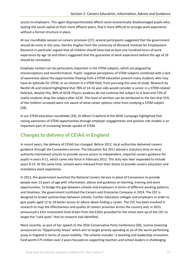access to employers. This again disproportionately affects socio-economically disadvantaged pupils who, lacking the social capital of their more affluent peers, find it more difficult to arrange work experience without a formal structure in place.

At our roundtable session on careers provision [27], several participants suggested that the government should do more in this area. Deirdre Hughes from the University of Warwick Institute for Employment Research in particular argued that all children should have had at least one hundred hours of work experience by age 16 and others suggested that the guarantee of work experience before the age of 16 should be reinstated.

Employer contact can be particularly important in the STEM subjects, which are plagued by misconceptions and misinformation. Pupils' negative perceptions of STEM subjects combined with a lack of awareness about the opportunities flowing from a STEM education prevent many students who may have an aptitude for STEM, or an interest in a STEM field, from pursuing this area of study. Research by Nestlé UK and Ireland highlighted that 78% of 14-16 year olds would consider a career in a STEM-related field but, despite this, 86% of GCSE Physics students do not continue the subject to A level and 72% of maths students drop the subject after GCSE. This level of attrition can be attributed to the fact that 51% of the children surveyed were not aware of what career options come from studying a STEM subject [28].

In our STEM education roundtable [29], Dr Mhairi Crawford of the WISE Campaign highlighted that raising awareness of STEM opportunities through employer engagements and positive role models is an important part of increasing female uptake of STEM.

#### <span id="page-11-0"></span>**Changes to delivery of CEIAG in England**

In recent years, the delivery of CEIAG has changed. Before 2012, local authorities delivered careers guidance through the Connexions service. The Education Act 2011 placed a statutory duty on local authority maintained schools to provide secure access to independent, impartial careers guidance for pupils in years 9-11, which came into force in February 2012. This duty was later expanded to include years 8-13. At the same time, schools were released from their duties to provide careers education and mandatory work experience.

In 2012, the government launched the National Careers Service in place of Connexions to provide people over 13 years of age with information, advice and guidance on learning, training and work opportunities. To bridge the gap between schools and employers in terms of different working patterns and timelines, the government instituted the Careers and Enterprise Company in 2014. The CEC is designed to broker partnerships between schools, Further Education colleges and employers in order to give pupils aged 12 to 18 better access to advice about finding a career. The CEC has been involved in research to map the effectiveness and quality of careers provision across the country and, in 2015, announced a £5m investment fund drawn from the £20m provided for the initial start-up of the CEC to target the "cold spots" that its research had identified.

More recently, as part of her speech to the 2016 Conservative Party Conference [30], Justine Greening announced six "Opportunity Areas" which aim to target priority spending at six of the worst performing areas in England in terms of social mobility. The scheme includes "a teaching and leadership innovation fund worth £75 million over 3 years focused on supporting teachers and school leaders in challenging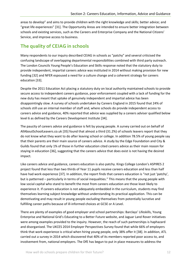areas to develop" and aims to provide children with the right knowledge and skills; better advice; and "great life experiences" [31]. The Opportunity Areas are intended to ensure better integration between schools and existing services, such as the Careers and Enterprise Company and the National Citizens' Service, and improve access to business.

#### <span id="page-12-0"></span>**The quality of CEIAG in schools**

Many respondents to our inquiry described CEIAG in schools as "patchy" and several criticised the confusing landscape of overlapping departmental responsibilities combined with third party outreach. The London Councils Young People's Education and Skills response noted that the statutory duty to provide independent, impartial careers advice was instituted in 2014 without making provision for new funding [32] and NFER espoused a need for a culture change and a coherent strategy for careers education [33].

Despite the 2011 Education Act placing a statutory duty on local authority maintained schools to provide secure access to independent careers guidance, poor enforcement coupled with a lack of funding for the new duty has meant that uptake of genuinely independent and impartial advice has been disappointingly slow. A survey of schools undertaken by Careers England in 2015 found that 24% of schools still use an internal member of staff and, where schools do provide independent access to careers advice and guidance, 40% reported that advice was supplied by a careers adviser qualified below level 6 as defined by the Careers Development Institute [34].

The paucity of careers advice and guidance is felt by young people. A survey carried out on behalf of AllAboutSchoolLeavers.co.uk [35] found that almost a third (31.2%) of schools leavers report that they do not know what they want to do after leaving school or college. In addition 78.5% of young people say that their parents are their main source of careers advice. A study by the Edge Foundation and City & Guilds found that only 1% of those in further education cited careers advice as their main reason for staying in education [36], suggesting that the careers advice that does exist is not having the desired impact.

Like careers advice and guidance, careers education is also patchy. Kings College London's ASPIRES 2 project found that less than two thirds of Year 11 pupils receive careers education and less than half have had work experience [37]. In addition, the report finds that careers education is "not just 'patchy', but is patterned – particularly in terms of social inequalities." This means that the young people with low social capital who stand to benefit the most from careers education are those least likely to experience it. If careers education is not adequately embedded in the curriculum, students may find themselves learning subject knowledge without understanding its practical application. This can be demotivating and may result in young people excluding themselves from potentially lucrative and fulfilling career paths because of ill-informed choices at GCSE or A Level.

There are plenty of examples of good employer and school partnerships: Barclays' Lifeskills, Young Enterprise and National Grid's Educating to a Better Future website, and Jaguar Land Rover initiatives were among examples provided to the inquiry. However, the reach of such partnerships is haphazard and disorganised. The UKCES 2014 Employer Perspectives Survey found that while 66% of employers think that work experience is critical when hiring young people, only 38% offer it [38]. In addition, ATL carried out a survey in 2014 which discovered that 40% of its members reported poor access to, and involvement from, national employers. The DfE has begun to put in place measures to address the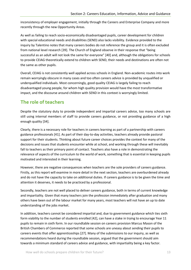inconsistency of employer engagement, initially through the Careers and Enterprise Company and more recently through the new Opportunity Areas.

As well as failing to reach socio-economically disadvantaged pupils, career development for children with special educational needs and disabilities (SEND) also lacks visibility. Evidence provided to the inquiry by Talentino notes that many careers bodies do not reference the group and it is often excluded from national level research [39]. The Church of England observe in their response that "being successful as an adult will not look the same for everyone" [40] and, although the obligations for schools to provide CEIAG theoretically extend to children with SEND, their needs and destinations are often not the same as other pupils.

Overall, CEIAG is not consistently well applied across schools in England. Non-academic routes into work remain worryingly obscure in many cases and too often careers advice is provided by unqualified or underqualified individuals. Most concerningly, good quality CEIAG is largely failing to reach disadvantaged young people, for whom high quality provision would have the most transformative impact, and the discourse around children with SEND in this context is worryingly limited.

### <span id="page-13-0"></span>**The role of teachers**

Despite the statutory duty to provide independent and impartial careers advice, too many schools are still using internal members of staff to provide careers guidance, or not providing guidance of a high enough quality [34].

Clearly, there is a necessary role for teachers in careers learning as part of a partnership with careers guidance professionals [41]. As part of their day-to-day activities, teachers already provide pastoral support for their students. Thinking about future career choices provides the context for many of the decisions and issues that students encounter while at school, and working through these will inevitably fall to teachers as their primary point of contact. Teachers also have a role in demonstrating the relevance of aspects of the curriculum to the world of work, something that is essential in keeping pupils motivated and interested in their learning.

However, there are negative consequences when teachers are the sole providers of careers guidance. Firstly, as this report will examine in more detail in the next section, teachers are overburdened already and do not have the capacity to take on additional duties. If careers guidance is to be given the time and attention it deserves, it needs to be practiced by a professional.

Secondly, teachers are not well placed to deliver careers guidance, both in terms of current knowledge and impartiality. Given that many teachers join the profession immediately after graduation and many others have been out of the labour market for many years, most teachers will not have an up to date understanding of the jobs market.

In addition, teachers cannot be considered impartial and, due to government guidance which ties sixth form viability to the number of students enrolled [42], can have a stake in trying to encourage Year 11 pupils to remain in sixth form. In our roundtable session on careers provision Marcus Mason of the British Chambers of Commerce reported that some schools are uneasy about sending their pupils to careers events that offer apprenticeships [27]. Many of the submissions to our inquiry, as well as recommendations heard during the roundtable session, argued that the government should aim towards a minimum standard of careers advice and guidance, with impartiality being a key factor.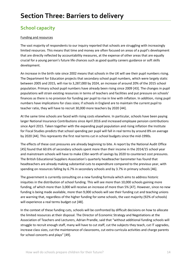#### <span id="page-14-1"></span><span id="page-14-0"></span>**School capacity**

#### Funding and resources

The vast majority of respondents to our inquiry reported that schools are struggling with increasingly limited resources. This means that time and money are often focused on areas of a pupil's development that are directly reflected by accountability measures, at the expense of other areas that are equally crucial for a young person's future life chances such as good quality careers guidance or soft skills development.

An increase in the birth rate since 2002 means that schools in the UK will see their pupil numbers rising. The Department for Education projects that secondary school pupil numbers, which were largely static between 2005 and 2015, will rise to 3,287,000 by 2024, an increase of around 20% of the 2015 school population. Primary school pupil numbers have already been rising since 2009 [43]. The changes in pupil populations will strain existing resources in terms of teachers and facilities and put pressure on schools' finances as there is no provision for funding per pupil to rise in line with inflation. In addition, rising pupil numbers have implications for class sizes; if schools in England are to maintain the current pupil to teacher ratio, they will have to recruit 30,000 more teachers by 2020 [44].

At the same time schools are faced with rising costs elsewhere. In particular, schools have been paying larger National Insurance Contributions since April 2016 and increased employee pension contributions since April 2015. Taken together with the expanding pupil population and rising inflation the Institute for Fiscal Studies predicts that school spending per pupil will fall in real terms by around 8% on average by 2020 [44]. This represents the first real terms cut in school budgets since the mid-1990s.

The effects of these cost pressures are already beginning to bite. A report by the National Audit Office [45] found that 60.6% of secondary schools spent more than their income in the 2014/15 school year and mainstream schools will have to make £3bn worth of savings by 2020 to counteract cost pressures. The British Educational Suppliers Association's quarterly headteacher barometer has found that headteachers are already making substantial cuts to expenditure compared to the previous year, with spending on resources falling by 6.7% in secondary schools and by 3.7% in primary schools [46].

The government is currently consulting on a new funding formula which aims to address historic iniquities in the distribution of school funding. This will see more than 10,000 schools gaining more funding, of which more than 3,000 will receive an increase of more than 5% [47]. However, since no new funding is being made available, more than 9,000 schools will see their funding cut and teaching unions are warning that, regardless of the higher funding for some schools, the vast majority (92% of schools) will experience a real terms budget cut [48].

In the context of these funding cuts, schools will be confronted by difficult decisions on how to allocate the limited resources at their disposal. The Director of Economic Strategy and Negotiations at the Association of Teachers and Lecturers, Adrian Prandle, said that "without additional funding schools will struggle to recruit enough staff, many will have to cut staff, cut the subjects they teach, cut IT upgrades, increase class sizes, cut the maintenance of classrooms, cut extra curricula activities and charge parents for school concerts and plays" [49].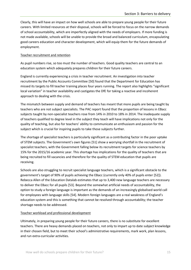Clearly, this will have an impact on how well schools are able to prepare young people for their future careers. With limited resources at their disposal, schools will be forced to focus on the narrow demands of school accountability, which are imperfectly aligned with the needs of employers. If more funding is not made available, schools will be unable to provide the broad and balanced curriculum, encapsulating good careers education and character development, which will equip them for the future demands of employment.

#### Teacher recruitment and retention

As pupil numbers rise, so too must the number of teachers. Good quality teachers are central to an education system which adequately prepares children for their future careers.

England is currently experiencing a crisis in teacher recruitment. An investigation into teacher recruitment by the Public Accounts Committee [50] found that the Department for Education has missed its targets to fill teacher training places four years running. The report also highlights "significant local variation" in teacher availability and castigates the DfE for taking a reactive and incoherent approach to dealing with the crisis.

The mismatch between supply and demand of teachers has meant that more pupils are being taught by teachers who are not subject specialists. The PAC report found that the proportion of lessons in EBacc subjects taught by non-specialist teachers rose from 14% in 2010 to 18% in 2014. The inadequate supply of teachers qualified to degree level in the subject they teach will have implications not only for the quality of teaching, but also for teachers' ability to communicate an enthusiasm and passion for the subject which is crucial for inspiring pupils to take those subjects further.

The shortage of specialist teachers is particularly significant as a contributing factor in the poor uptake of STEM subjects. The Government's own figures [51] show a worrying shortfall in the recruitment of specialist teachers, with the Government falling below its recruitment targets for science teachers by 15% for the 2015/16 academic year. This shortage has implications for the quality of teachers that are being recruited to fill vacancies and therefore for the quality of STEM education that pupils are receiving.

Schools are also struggling to recruit specialist language teachers, which is a significant obstacle to the government's target of 90% of pupils achieving the EBacc (currently only 40% of pupils enter [52]). Rebecca Allen of the Education Datalab estimates that up to 3,400 new language teachers are necessary to deliver the EBacc for all pupils [53]. Beyond the somewhat artificial needs of accountability, the option to study a foreign language is important as the demands of an increasingly globalised world call for employees with language skills [54]. Modern foreign languages are a real weakness of England's education system and this is something that cannot be resolved through accountability; the teacher shortage needs to be addressed.

#### Teacher workload and professional development

Ultimately, in preparing young people for their future careers, there is no substitute for excellent teachers. There are heavy demands placed on teachers, not only to impart up to date subject knowledge in their chosen field, but to meet their school's administrative requirements, mark work, plan lessons, and run extra-curricular activities.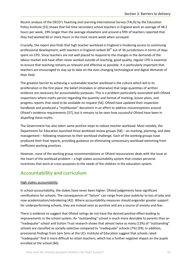Recent analysis of the OECD's Teaching and Learning International Survey (TALIS) by the Education Policy Institute [55] shows that full time secondary school teachers in England work an average of 48.2 hours per week, 19% longer than the average elsewhere and around a fifth of teachers reported that they had worked 60 or more hours in the most recent week when surveyed.

Crucially, the report also finds that high teacher workload in England is hindering access to continuing professional development, with teachers in England ranked  $30<sup>th</sup>$  out of 36 jurisdictions in terms of days spent on CPD. Since teachers are not well placed to respond to the changes in the demands of the labour market and have often never worked outside of teaching, good quality, regular CPD is essential to ensure that teaching remains as relevant and effective as possible. It is particularly important that teachers are encouraged to stay up to date on the ever-changing technological and digital demands of their field.

The greatest barrier to achieving a sustainable teacher workload is the culture which led to its proliferation in the first place: the belief (mistaken or otherwise) that large quantities of written evidence are necessary for accountability purposes. This is a problem particularly associated with Ofsted inspections where myths persist regarding the quantity and format of marking, lesson plans, and progress reports that need to be available on request [56]. Ofsted have updated their inspection handbook and produced a "mythbuster" document in an effort to address misconceptions around Ofsted's evidence requirements [57], but it remains to be seen how successful Ofsted have been in dispelling these myths.

The Government has also taken some positive steps to reduce teacher workload. Most notably, the Department for Education launched three workload review groups [58] – on marking, planning, and data management – following responses to their workload challenge. Each of the working groups have produced their final reports, providing guidance on eliminating unnecessary workload stemming from inefficient working practices.

However, none of the working group recommendations or Ofsted reassurances deals with the issue at the heart of the workload problem – a high stakes accountability system that creates perverse incentives that work at cross-purposes to the needs of the children in the education system.

#### <span id="page-16-0"></span>**Accountability and curriculum**

#### High stakes accountability

In school accountability, the stakes have never been higher. Ofsted judgements have significant ramifications for schools. The consequences of "failure" can range from poor publicity to loss of jobs and now academisation/rebrokering [42]. Where accountability measures should engender greater support for underperforming schools, they are instead seen as punitive and are a source of anxiety and fear.

There is evidence to suggest that Ofsted ratings do not have the desired positive effect leading to improvements in the school system. An "outstanding" school is much more desirable to parents than an "inadequate" school and Sutton Trust research shows that almost twice as many (13%) of "outstanding" schools are classified as socially selective compared to "inadequate" schools (7%) [59]. In addition, provisional findings from Sam Sims at the UCL Institute of Education suggest that schools rated "inadequate" find it more difficult to retain teachers, which has a further negative impact on the pupils enrolled at the school [60].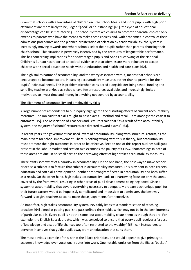Given that schools with a low intake of children on Free School Meals and more pupils with high prior attainment are more likely to be judged "good" or "outstanding" [61], the cycle of educational disadvantage can be self-reinforcing. The school system which aims to promote "parental choice" only extends to parents who have the means to make those choices and, with academies in control of their admissions procedures and the planned proliferation of selection by academic ability, the system is increasingly moving towards one where schools select their pupils rather than parents choosing their child's school. This situation is perversely incentivised by the pressures of league table performance. This has concerning implications for disadvantaged pupils and Anna Feuchtwang of the National Children's Bureau has reported anecdotal evidence that academies are more reluctant to accept children with special education needs without education and health and care plans [62].

The high stakes nature of accountability, and the worry associated with it, means that schools are encouraged to become experts in passing accountability measures, rather than to provide for their pupils' individual needs. This is problematic when considered alongside declining school funding and spiralling teacher workload as schools have fewer resources available, and increasingly limited motivation, to invest time and money in anything not covered by accountability.

#### The alignment of accountability and employability skills

A large number of respondents to our inquiry highlighted the distorting effects of current accountability measures. The IoD said that skills taught to pass exams – method and recall – are amongst the easiest to automate [15]. The Association of Teachers and Lecturers said that "as a result of the accountability system, the majority of schools' resources are directed toward exams" [63].

In recent years, the government has used layers of accountability, along with structural reform, as the main drivers for school improvement. There is nothing wrong with this in theory, but accountability must promote the right outcomes in order to be effective. Section one of this report outlines skill gaps present in the labour market and section two examines the paucity of CEIAG. Shortcomings in both of these areas are due, in no small part, to the narrowing effect of high stakes accountability measures.

There exists somewhat of a paradox in accountability. On the one hand, the best way to make schools prioritise a subject is to feature that subject in accountability measures. This is evident in both careers education and soft skills development - neither are strongly reflected in accountability and both suffer as a result. On the other hand, high stakes accountability leads to a narrowing focus on only the areas covered by the framework, resulting in other areas of pupil development being neglected. Since a system of accountability that covers everything necessary to adequately prepare each unique pupil for their future careers would be hopelessly complicated and impossible to administer, the best way forward is to give teachers space to make those judgements for themselves.

An imperfect, high stakes accountability system inevitably leads to a standardisation of teaching practices [64] aimed at getting pupils to pass defined thresholds, which may not be in the best interests of particular pupils. Every pupil is not the same, but accountability treats them as though they are. For example, the English Baccalaureate, which was conceived to ensure that every pupil receives a "a base of knowledge and a set of life chances too often restricted to the wealthy" [65], can instead create perverse incentives that guide pupils away from an education that suits them.

The most obvious example of this is that the EBacc prioritises, and would appear to give primacy to, academic knowledge over vocational routes into work. One notable omission from the EBacc "bucket"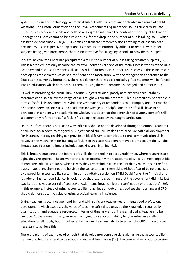system is Design and Technology, a practical subject with skills that are applicable in a range of STEM vocations. The Dyson Foundation and the Royal Academy of Engineers see D&T as crucial route into STEM for less academic pupils and both have sought to influence the content of the subject to that end. Although the EBacc cannot be held responsible for the drop in the number of pupils taking D&T - which has been evident since 2000 [66] - its omission from the framework does nothing to arrest subject's decline. D&T is an expensive subject and its teachers are notoriously difficult to recruit; with other subjects being given precedence, there is no incentive for struggling schools to provide the subject.

In a similar vein, the EBacc has precipitated a fall in the number of pupils taking creative subjects [67]. This is a problem not only because the creative industries are one of the main success stories of the UK's economy and because these are skills at low risk of automation, but because success in these topics can develop desirable traits such as self-confidence and motivation. With too stringent an adherence to the EBacc as it is currently formulated, there is a danger that less academically gifted students will be forced into an education which does not suit them, causing them to become disengaged and demotivated.

As well as narrowing the curriculum in terms subjects studied, poorly administered accountability measures can also narrow the range of skills taught within subject areas. This is particularly noticeable in terms of soft skills development. While the vast majority of respondents to our inquiry argued that the distinction between soft skills and academic knowledge is unhelpful and that soft skills have to be developed in tandem with academic knowledge, it is clear that the dimension of a young person's skill set commonly referred to as "soft skills" is being neglected by the taught curriculum.

On the surface, there is no reason why soft skills should not be developed through traditional academic disciplines; an academically rigorous, subject based curriculum does not preclude soft skill development. For instance, literacy teaching can provide an ideal forum to contribute to oral communication skills. However the mechanism for building soft skills in this case has been removed from accountability - the literacy specification no longer includes speaking and listening [68].

This is broadly true across the board; soft skills do not feed in to accountability so, where resources are tight, they are ignored. The answer to this is not necessarily more accountability - it is almost impossible to measure soft skills reliably, which is why they are excluded from accountability measures in the first place. Instead, teachers need to be given the space to teach these skills without fear of being penalised by a parochial accountability system. In our roundtable session on STEM David Perks, the Principal and founder of East London Science School, noted that "...one great thing that the government did in its last two iterations was to get rid of coursework...it means [practical lessons are] not an onerous duty" [29]. In this example, instead of using accountability to achieve an outcome, good teacher training and CPD should demonstrate the value of using practical learning in science.

Giving teachers space must go hand-in-hand with sufficient teacher recruitment; good professional development which espouses the value of teaching soft skills alongside the knowledge required by qualifications; and adequate resources, in terms of time as well as finances, allowing teachers to be creative. At the moment the government is trying to use accountability to guarantee an excellent education for all pupils, but is inadvertently harming teachers' ability to access the CPD and resources necessary to achieve this.

There are plenty of examples of schools that develop non-cognitive skills alongside the accountability framework, but these tend to be schools in more affluent areas [14]. The comparatively poor provision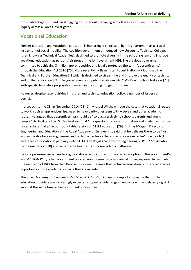for disadvantaged students in struggling or just about managing schools was a consistent theme of the inquiry across all areas investigated.

### <span id="page-19-0"></span>**Vocational Education**

Further education and vocational education is increasingly being seen by the government as a crucial instrument of social mobility. The coalition government announced new University Technical Colleges (then known as Technical Academies), designed to promote diversity in the school system and improve vocational education, as part of their programme for government [69]. The previous government committed to achieving 3 million apprenticeships and legally protected the term "apprenticeship" through the Education Act 2016 [70]. More recently, skills minister Robert Halfon MP launched the Technical and Further Education Bill which is designed to streamline and improve the quality of technical and further education [71]. The government also published its *Post-16 Skills Plan* in July of last year [72] with specific legislative proposals appearing in the spring budget of this year.

However, despite recent strides in further and technical education policy, a number of issues still persist.

In a speech to the CBI in November 2014 [73], Sir Michael Wilshaw made the case that vocational routes to work, such as apprenticeships, need to have parity of esteem with A Levels and other academic routes. He argued that apprenticeships should be "sold aggressively to schools, parents and young people." To facilitate this, Sir Michael said that "the quality of careers information and guidance must be raised substantially." In our roundtable session on STEM education [29], Dr Rhys Morgan, Director of Engineering and Education at the Royal Academy of Engineering, said that he believes there to be "just as much a shortage in engineering and technician roles as there is in professional roles" due to a lack of awareness of vocational pathways into STEM. The Royal Academy for Engineering's *UK STEM Education Landscape* report [20] also laments the low status of non-academic pathways.

Despite promising initiatives to align vocational education with the academic option in the government's *Post-16 Skills Plan*, other government policies would seem to be working at cross-purposes. In particular, the exclusion of D&T from the EBacc sends a clear message that technical education is not considered as important as more academic subjects that are included.

The Royal Academy for Engineering's *UK STEM Education Landscape* report also warns that further education providers are increasingly expected support a wide range of entrants with widely varying skill levels at the same time as being stripped of resources.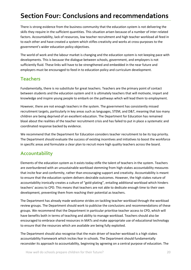## <span id="page-20-0"></span>**Section Four: Conclusions and recommendations**

There is strong evidence from the business community that the education system is not delivering the skills they require in the sufficient quantities. This situation arisen because of a number of inter-related factors. Accountability, lack of resources, low teacher recruitment and high teacher workload all feed in to each other and have created a system which stifles creativity and works at cross-purposes to the government's wider education policy objectives.

The world of work and the labour market is changing and the education system is not keeping pace with developments. This is because the dialogue between schools, government, and employers is not sufficiently fluid. These links will have to be strengthened and embedded in the near future and employers must be encouraged to feed in to education policy and curriculum development.

#### <span id="page-20-1"></span>**Teachers**

Fundamentally, there is no substitute for great teachers. Teachers are the primary point of contact between students and the education system and it is ultimately teachers that will motivate, impart and knowledge and inspire young people to embark on the pathways which will lead them to employment.

However, there are not enough teachers in the system. The government has consistently missed recruitment targets, particularly in key areas such as languages, STEM, and D&T, meaning that too many children are being deprived of an excellent education. The Department for Education has remained blasé about the realities of the teacher recruitment crisis and has failed to put in place a systematic and coordinated response backed by evidence.

We recommend that the Department for Education considers teacher recruitment to be its top priority. The Department should evaluate the success of existing incentives and initiatives to boost the workforce in specific areas and formulate a clear plan to recruit more high quality teachers across the board.

#### <span id="page-20-2"></span>**Accountability**

Elements of the education system as it exists today stifle the talent of teachers in the system. Teachers are overburdened with an unsustainable workload stemming from high-stakes accountability measures that incite fear and conformity, rather than encouraging support and creativity. Accountability is meant to ensure that the education system delivers desirable outcomes. However, the high stakes nature of accountability ironically creates a culture of "gold-plating", entailing additional workload which hinders teachers' access to CPD. This means that teachers are not able to dedicate enough time to their own development, preventing them from reaching their potential as teachers.

The Department has already made welcome strides on tackling teacher workload through the workload review groups. The Department should work to publicise the conclusions and recommendations of these groups. We recommend that the Department in particular prioritise teacher access to CPD, which will have benefits both in terms of teaching and ability to manage workload. Teachers should also be encouraged to embrace shared resources in MATs and make appropriate use of educational technology to ensure that the resources which are available are being fully exploited.

The Department should also recognise that the main driver of teacher workload is a high stakes accountability framework which incites fear in schools. The Department should fundamentally reconsider its approach to accountability, beginning by agreeing on a central purpose of education. The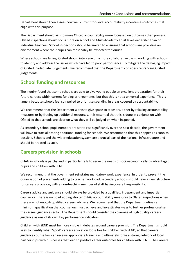Department should then assess how well current top-level accountability incentivises outcomes that align with this purpose.

The Department should aim to make Ofsted accountability more focussed on outcomes than process. Ofsted inspections should focus more on school and Multi-Academy Trust level leadership than on individual teachers. School inspections should be limited to ensuring that schools are providing an environment where their pupils can reasonably be expected to flourish.

Where schools are failing, Ofsted should intervene on a more collaborative basis; working with schools to identify and address the issues which have led to poor performance. To mitigate the damaging impact of Ofsted inadequate judgements, we recommend that the Department considers rebranding Ofsted judgements.

### <span id="page-21-0"></span>**School funding and resources**

The inquiry found that some schools are able to give young people an excellent preparation for their future careers within current funding arrangements, but that this is not a universal experience. This is largely because schools feel compelled to prioritise spending in areas covered by accountability.

We recommend that the Department works to give space to teachers, either by relaxing accountability measures or by freeing up additional resources. It is essential that this is done in conjunction with Ofsted so that schools are clear on what they will be judged on when inspected.

As secondary school pupil numbers are set to rise significantly over the next decade, the government will have to start allocating additional funding for schools. We recommend that this happens as soon as possible. Schools and the wider education system are a crucial part of the national infrastructure and should be treated as such.

#### <span id="page-21-1"></span>**Careers provision in schools**

CEIAG in schools is patchy and in particular fails to serve the needs of socio-economically disadvantaged pupils and children with SEND.

We recommend that the government reinstates mandatory work experience. In order to prevent the organisation of placements adding to teacher workload, secondary schools should have a clear structure for careers provision, with a non-teaching member of staff having overall responsibility.

Careers advice and guidance should always be provided by a qualified, independent and impartial counsellor. There is no point adding stricter CEIAG accountability measures to Ofsted inspections when there are not enough qualified careers advisers. We recommend that the Department defines a minimum qualification that counsellors must achieve and investigates ways to further professionalise the careers guidance sector. The Department should consider the coverage of high quality careers guidance as one of its own key performance indicators.

Children with SEND must be more visible in debates around careers provision. The Department should seek to identify what "good" careers education looks like for children with SEND, so that careers guidance counsellors can receive appropriate training and ultimately forge a strong network of local partnerships with businesses that lead to positive career outcomes for children with SEND. The Careers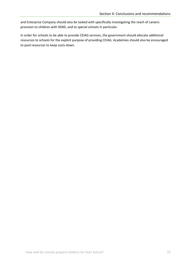and Enterprise Company should also be tasked with specifically investigating the reach of careers provision to children with SEND, and to special schools in particular.

In order for schools to be able to provide CEIAG services, the government should allocate additional resources to schools for the explicit purpose of providing CEIAG. Academies should also be encouraged to pool resources to keep costs down.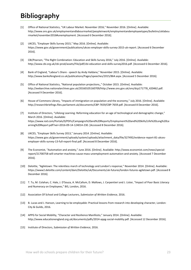- <span id="page-23-0"></span>[1] Office of National Statistics, "UK Labour Market: November 2016," November 2016. [Online]. Available: http://www.ons.gov.uk/employmentandlabourmarket/peopleinwork/employmentandemployeetypes/bulletins/uklabou rmarket/november2016#unemployment. [Accessed 6 December 2016].
- [2] UKCES, "Employer Skills Survey 2015," May 2016. [Online]. Available: https://www.gov.uk/government/publications/ukces-employer-skills-survey-2015-uk-report. [Accessed 6 December 2016].
- [3] CBI/Pearson, "The Right Combination: Education and Skills Survey 2016," July 2016. [Online]. Available: http://www.cbi.org.uk/cbi-prod/assets/File/pdf/cbi-education-and-skills-survey2016.pdf. [Accessed 6 December 2016].
- [4] Bank of England, "Labour's Share speech by Andy Haldane," November 2015. [Online]. Available: http://www.bankofengland.co.uk/publications/Pages/speeches/2015/864.aspx. [Accessed 5 December 2016].
- [5] Office of National Statistics, "National population projections,," October 2015. [Online]. Available: http://webarchive.nationalarchives.gov.uk/20160105160709/http://www.ons.gov.uk/ons/dcp171778\_420462.pdf. [Accessed 9 December 2016].
- [6] House of Commons Library, "Impacts of immigration on population and the economy," July 2016. [Online]. Available: http://researchbriefings.files.parliament.uk/documents/CBP-7659/CBP-7659.pdf. [Accessed 8 December 2016].
- [7] Institute of Directors, "Lifelong Learning: Reforming education for an age of technological and demographic change," March 2016. [Online]. Available: https://www.iod.com/Portals/0/PDFs/Campaigns%20and%20Reports/Employment%20and%20Skills/Life%20Long%20Le arning%20Report.pdf?ver=2016-09-14-124014-230. [Accessed 8 December 2016].
- [8] UKCES, "Employer Skills Survey 2013," January 2014. [Online]. Available: https://www.gov.uk/government/uploads/system/uploads/attachment\_data/file/327492/evidence-report-81-ukcesemployer-skills-survey-13-full-report-final.pdf. [Accessed 8 December 2016].
- [9] The Economist, "Automation and anxiety," June 2016. [Online]. Available: http://www.economist.com/news/specialreport/21700758-will-smarter-machines-cause-mass-unemployment-automation-and-anxiety. [Accessed 7 December 2016].
- [10] Deloitte, "Agiletown: The relentless march of technology and London's response," November 2014. [Online]. Available: https://www2.deloitte.com/content/dam/Deloitte/uk/Documents/uk-futures/london-futures-agiletown.pdf. [Accessed 8 December 2016].
- [11] T. Tu, M. Colahan, C. Hale, J. D'Souza, A. McCallum, D. Mallows, J. Carpentieri and J. Lister, "Impact of Poor Basic Literacy and Numeracy on Employees," BIS, London, 2016.
- [12] Association Of School and College Lecturers, *Submission of Written Evidence,* 2016.
- [13] B. Lucas and J. Hanson, Learning to be employable: Practical lessons from research into developing character, London: City & Guilds, 2016.
- [14] APPG for Social Mobility, "Character and Resilience Manifesto," January 2014. [Online]. Available: http://www.educationengland.org.uk/documents/pdfs/2014-appg-social-mobility.pdf. [Accessed 12 December 2016].
- [15] Institute of Directors, *Submission of Written Evidence,* 2016.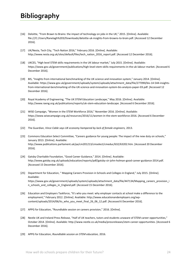- [16] Deloitte, "From Brawn to Brains: the impact of technology on jobs in the UK," 2015. [Online]. Available: file:///C:/Users/Ranelagh%203/Downloads/deloitte-uk-insights-from-brawns-to-brain.pdf. [Accessed 12 December 2016].
- [17] UK/Nesta, Tech City, "Tech Nation 2016," February 2016. [Online]. Available: http://www.nesta.org.uk/sites/default/files/tech\_nation\_2016\_report.pdf. [Accessed 12 December 2016].
- [18] UKCES, "High level STEM skills requirements in the UK labour market," July 2015. [Online]. Available: https://www.gov.uk/government/publications/high-level-stem-skills-requirements-in-the-uk-labour-market. [Accessed 6 December 2016].
- [19] BIS, "Insights from international benchmarking of the UK science and innovation system," January 2014. [Online]. Available: https://www.gov.uk/government/uploads/system/uploads/attachment\_data/file/277090/bis-14-544-insightsfrom-international-benchmarking-of-the-UK-science-and-innovation-system-bis-analysis-paper-03.pdf. [Accessed 12 December 2016].
- [20] Royal Academy of Engineering, "The UK STEM Education Landscape," May 2016. [Online]. Available: http://www.raeng.org.uk/publications/reports/uk-stem-education-landscape. [Accessed 6 December 2016].
- [21] WISE Campaign, "Women in the STEM Workforce 2016," November 2016. [Online]. Available: https://www.wisecampaign.org.uk/resources/2016/11/women-in-the-stem-workforce-2016. [Accessed 6 December 2016].
- [22] The Guardian, *Vince Cable says UK economy hampered by lack of female engineers,* 2013.
- [23] Commons Education Select Committee, "Careers guidance for young people: The impact of the new duty on schools," January 2013. [Online]. Available: http://www.publications.parliament.uk/pa/cm201213/cmselect/cmeduc/632/63202.htm. [Accessed 20 December 2016].
- [24] Gatsby Charitable Foundation, "Good Career Guidance," 2014. [Online]. Available: http://www.gatsby.org.uk/uploads/education/reports/pdf/gatsby-sir-john-holman-good-career-guidance-2014.pdf. [Accessed 15 December 2016].
- [25] Department for Education, " Mapping Careers Provision in Schools and Colleges in England," July 2015. [Online]. Available: https://www.gov.uk/government/uploads/system/uploads/attachment\_data/file/447134/Mapping\_careers\_provision\_i n\_schools\_and\_colleges\_in\_England.pdf. [Accessed 15 December 2016].
- [26] Education and Employers Taskforce, "It's who you meet: why employer contacts at school make a difference to the employment," February 2012. [Online]. Available: http://www.educationandemployers.org/wpcontent/uploads/2014/06/its\_who\_you\_meet\_final\_26\_06\_12.pdf. [Accessed 6 December 2016].
- [27] APPG for Education, "Roundtable session on careers provision," 2016. [Online].
- [28] Nestle UK and Ireland Press Release, "Half of UK teachers, tutors and students unaware of STEM career opportunities," October 2014. [Online]. Available: http://www.nestle.co.uk/media/pressreleases/stem-career-opportunities. [Accessed 6 December 2016].
- [29] APPG for Education, *Roundtable session on STEM education,* 2016.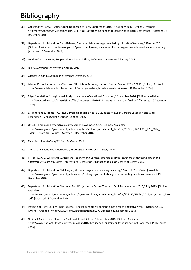- [30] Conservaitve Party, "Justine Greening speech to Party Conference 2016," 4 October 2016. [Online]. Available: http://press.conservatives.com/post/151337985150/greening-speech-to-conservative-party-conference. [Accessed 16 December 2016].
- [31] Department for Education Press Release, "Social mobility package unveiled by Education Secretary," Ocotber 2016. [Online]. Available: https://www.gov.uk/government/news/social-mobility-package-unveiled-by-education-secretary. [Accessed 16 December 2016].
- [32] London Councils Young People's Education and Skills, *Submission of Written Evidence,* 2016.
- [33] NFER, *Submission of Written Evidence,* 2016.
- [34] Careers England, *Submission of Written Evidence,* 2016.
- [35] AllAboutSchoolLeavers.co.uk/YouGov, "The School & College Leaver Careers Market 2016," 2016. [Online]. Available: https://www.allaboutschoolleavers.co.uk/employer-advice/latest-research. [Accessed 16 December 2016].
- [36] Edge Foundation, "Longitudinal Study of Learners in Vocational Education," November 2016. [Online]. Available: http://www.edge.co.uk/sites/default/files/documents/20161212\_wave\_1\_report\_-\_final.pdf. [Accessed 16 December 2016].
- [37] L. Archer and J. Moote, "ASPIRES 2 Project Spotlight: Year 11 Students' Views of Careers Education and Work Experience," Kings College London, London, 2016.
- [38] UKCES, "Employer Perspectives Survey 2014," November 2014. [Online]. Available: https://www.gov.uk/government/uploads/system/uploads/attachment\_data/file/373769/14.11.11.\_EPS\_2014\_- Main\_Report\_full\_V2.pdf. [Accessed 6 December 2016].
- [39] Talentino, *Submission of Written Evidence,* 2016.
- [40] Church of England Education Office, *Submission of Written Evidence,* 2016.
- [41] T. Hooley, A. G. Watts and D. Andrews, *Teachers and Careers: The role of school teachers in delivering career and employability learning,* Derby: International Centre for Guidance Studies, University of Derby, 2015.
- [42] Department for Education, "Making significant changes to an existing academy," March 2016. [Online]. Available: https://www.gov.uk/government/publications/making-significant-changes-to-an-existing-academy. [Accessed 19 December 2016].
- [43] Department for Education, "National Pupil Projections Future Trends in Pupil Numbers: July 2015," July 2015. [Online]. Available: https://www.gov.uk/government/uploads/system/uploads/attachment\_data/file/478185/SFR24\_2015\_Projections\_Text .pdf. [Accessed 13 December 2016].
- [44] Institute of Fiscal Studies Press Release, "English schools will feel the pinch over the next five years," October 2015. [Online]. Available: http://www.ifs.org.uk/publications/8027. [Accessed 12 December 2016].
- [45] National Audit Office, "Financial Sustainability of Schools," December 2016. [Online]. Available: https://www.nao.org.uk/wp-content/uploads/2016/12/Financial-sustainability-of-schools.pdf. [Accessed 15 December 2016].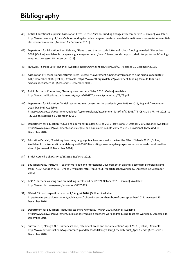- [46] British Educational Suppliers Association Press Release, "School Funding Changes," December 2016. [Online]. Available: http://www.besa.org.uk/news/school-funding-formula-changes-threaten-make-bad-situation-worse-provision-essentialclassroom-resources/. [Accessed 15 December 2016].
- [47] Department for Education Press Release, "Plans to end the postcode lottery of school funding revealed," December 2016. [Online]. Available: https://www.gov.uk/government/news/plans-to-end-the-postcode-lottery-of-school-fundingrevealed. [Accessed 15 December 2016].
- [48] NUT/ATL, "School Cuts," [Online]. Available: http://www.schoolcuts.org.uk/#/. [Accessed 15 December 2016].
- [49] Association of Teachers and Lecturers Press Release, "Government funding formula fails to fund schools adequately ATL," December 2016. [Online]. Available: https://www.atl.org.uk/latest/government-funding-formula-fails-fundschools-adequately-atl. [Accessed 15 December 2016].
- [50] Public Accounts Committee, "Training new teachers," May 2016. [Online]. Available: http://www.publications.parliament.uk/pa/cm201617/cmselect/cmpubacc/73/73.pdf.
- [51] Department for Education, "Initial teacher training census for the academic year 2015 to 2016, England," November 2015. [Online]. Available: https://www.gov.uk/government/uploads/system/uploads/attachment\_data/file/478098/ITT\_CENSUS\_SFR\_46\_2015\_to \_2016.pdf. [Accessed 6 December 2016].
- [52] Department for Education, "GCSE and equivalent results: 2015 to 2016 (provisional)," October 2016. [Online]. Available: https://www.gov.uk/government/statistics/gcse-and-equivalent-results-2015-to-2016-provisional. [Accessed 16 December 2016].
- [53] Education Datalab, "Revisiting how many language teachers we need to deliver the EBacc," March 2016. [Online]. Available: https://educationdatalab.org.uk/2016/03/revisiting-how-many-language-teachers-we-need-to-deliver-theebacc/. [Accessed 16 December 2016].
- [54] British Council, *Submission of Written Evidence,* 2016.
- [55] Education Policy Institute, "Teacher Workload and Professional Development in Egland's Secondary Schools: Insights from TALIS," October 2016. [Online]. Available: http://epi.org.uk/report/teacherworkload/. [Accessed 12 December 2016].
- [56] BBC, "Teachers 'wasting time on marking in coloured pens'," 21 October 2016. [Online]. Available: http://www.bbc.co.uk/news/education-37705385.
- [57] Ofsted, "School inspection handbook," August 2016. [Online]. Available: https://www.gov.uk/government/publications/school-inspection-handbook-from-september-2015. [Accessed 15 December 2016].
- [58] Department for Education, "Reducing teachers' workload," March 2016. [Online]. Available: https://www.gov.uk/government/publications/reducing-teachers-workload/reducing-teachers-workload. [Accessed 15 December 2016].
- [59] Sutton Trust, "Caught Out: Primary schools, catchment areas and social selection," April 2016. [Online]. Available: http://www.suttontrust.com/wp-content/uploads/2016/04/Caught-Out\_Research-brief\_April-16.pdf. [Accessed 15 December 2016].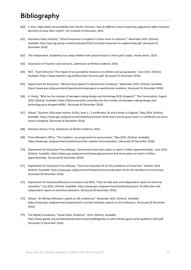- [60] S. Sims, *High-Stakes Accountability and Teacher Turnover: how do different school inspection judgements affect teachers' decisions to leave their school?,* UCL Institute of Education, 2016.
- [61] Education Policy Institute, "School Inspection in England: Is there room to improve?," November 2016. [Online]. Available: http://epi.org.uk/wp-content/uploads/2016/11/school-inspection-in-england-web.pdf. [Accessed 15 December 2016].
- [62] The Independent, *Academies turn away children with special needs to 'cherry-pick' pupils, charity warns, 2016*.
- [63] Association of Teachers and Lecturers, *Submission of Written Evidence,* 2016.
- [64] NUT, "Exam factories? The impact of accountability measures on children and young people," June 2015. [Online]. Available: https://www.teachers.org.uk/files/exam-factories.pdf. [Accessed 15 December 2016].
- [65] Department for Education, "Michael Gove Speech to Westminster Academy," September 2010. [Online]. Available: https://www.gov.uk/government/speeches/michael-gove-to-westminster-academy. [Accessed 16 December 2016].
- [66] A. Hardy, "Why has the number of teenagers taking design and technology GCSE dropped?," The Conversation, August 2016. [Online]. Available: https://theconversation.com/why-has-the-number-of-teenagers-taking-design-andtechnology-gcse-dropped-46361. [Accessed 16 December 2016].
- [67] Ofqual, "Summer 2016 exam entries: GCSEs, level 1 / 2 certificates, AS and A levels in England," May 2016. [Online]. Available: https://www.gov.uk/government/statistics/summer-2016-exam-entries-gcses-level-1-2-certificates-as-and-alevels-in-england. [Accessed 16 December 2016].
- [68] National Literacy Trust, *Submission of Written Evidence,* 2016.
- [69] Prime Minister's Office, "The Coalition: our programme for government," May 2010. [Online]. Available: https://www.gov.uk/government/publications/the-coalition-documentation. [Accessed 20 December 2016].
- [70] Department for Education Press Release, "Government kick-starts plans to reach 3 million apprenticeships," June 2015. [Online]. Available: https://www.gov.uk/government/news/government-kick-starts-plans-to-reach-3-millionapprenticeships. [Accessed 20 December 2016].
- [71] Department for Education Press Release, "Technical education fit for the workforce of tomorrow," October 2016. [Online]. Available: https://www.gov.uk/government/news/technical-education-fit-for-the-workforce-of-tomorrow. [Accessed 20 December 2016].
- [72] Department for Education/Business Innovation and Skills, "Post-16 skills plan and independent report on technical education," July 2016. [Online]. Available: https://www.gov.uk/government/publications/post-16-skills-plan-andindependent-report-on-technical-education. [Accessed 20 December 2016].
- [73] Ofsted, "Sir Michael Wilshaw's speech to CBI conference," November 2014. [Online]. Available: https://www.gov.uk/government/speeches/sir-michael-wilshaws-speech-to-cbi-conference. [Accessed 20 December 2016].
- [75] The Gatsby Foundation, "Good Career Guidance," 2014. [Online]. Available: http://www.gatsby.org.uk/uploads/education/reports/pdf/gatsby-sir-john-holman-good-career-guidance-2014.pdf. [Accessed 15 December 2016].